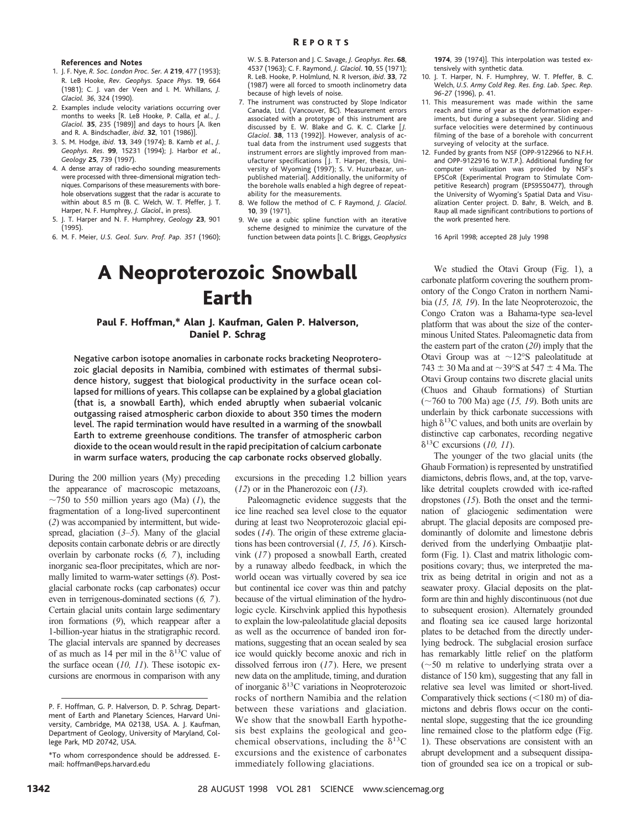#### **References and Notes**

- 1. J. F. Nye, *R. Soc. London Proc. Ser. A* **219**, 477 (1953); R. LeB Hooke, *Rev. Geophys. Space Phys*. **19**, 664 (1981); C. J. van der Veen and I. M. Whillans, *J. Glaciol. 36*, 324 (1990).
- 2. Examples include velocity variations occurring over months to weeks [R. LeB Hooke, P. Calla, *et al.*, *J. Glaciol.* **35**, 235 (1989)] and days to hours [A. Iken and R. A. Bindschadler, *ibid*. **32**, 101 (1986)].
- 3. S. M. Hodge, *ibid*. **13**, 349 (1974); B. Kamb *et al*., *J. Geophys. Res*. **99**, 15231 (1994); J. Harbor *et al.*, *Geology* **25**, 739 (1997).
- 4. A dense array of radio-echo sounding measurements were processed with three-dimensional migration techniques. Comparisons of these measurements with borehole observations suggest that the radar is accurate to within about 8.5 m (B. C. Welch, W. T. Pfeffer, J. T. Harper, N. F. Humphrey, *J. Glaciol*., in press).
- 5. J. T. Harper and N. F. Humphrey, *Geology* **23**, 901 (1995).
- 6. M. F. Meier, *U.S. Geol. Surv. Prof. Pap. 351* (1960);

W. S. B. Paterson and J. C. Savage, *J. Geophys. Res*. **68**, 4537 (1963); C. F. Raymond, *J. Glaciol*. **10**, 55 (1971); R. LeB. Hooke, P. Holmlund, N. R Iverson, *ibid*. **33**, 72 (1987) were all forced to smooth inclinometry data because of high levels of noise.

- 7. The instrument was constructed by Slope Indicator Canada, Ltd. (Vancouver, BC). Measurement errors associated with a prototype of this instrument are discussed by E. W. Blake and G. K. C. Clarke [*J. Glaciol*. **38**, 113 (1992)]. However, analysis of actual data from the instrument used suggests that instrument errors are slightly improved from manufacturer specifications [J. T. Harper, thesis, University of Wyoming (1997); S. V. Huzurbazar, unpublished material]. Additionally, the uniformity of the borehole walls enabled a high degree of repeatability for the measurements.
- 8. We follow the method of C. F Raymond, *J. Glaciol*. **10**, 39 (1971).
- 9. We use a cubic spline function with an iterative scheme designed to minimize the curvature of the function between data points [I. C. Briggs, *Geophysics*

## A Neoproterozoic Snowball Earth

#### Paul F. Hoffman,\* Alan J. Kaufman, Galen P. Halverson, Daniel P. Schrag

Negative carbon isotope anomalies in carbonate rocks bracketing Neoproterozoic glacial deposits in Namibia, combined with estimates of thermal subsidence history, suggest that biological productivity in the surface ocean collapsed for millions of years. This collapse can be explained by a global glaciation (that is, a snowball Earth), which ended abruptly when subaerial volcanic outgassing raised atmospheric carbon dioxide to about 350 times the modern level. The rapid termination would have resulted in a warming of the snowball Earth to extreme greenhouse conditions. The transfer of atmospheric carbon dioxide to the ocean would result in the rapid precipitation of calcium carbonate in warm surface waters, producing the cap carbonate rocks observed globally.

During the 200 million years (My) preceding the appearance of macroscopic metazoans,  $\sim$ 750 to 550 million years ago (Ma) (*1*), the fragmentation of a long-lived supercontinent (*2*) was accompanied by intermittent, but widespread, glaciation (*3–5*). Many of the glacial deposits contain carbonate debris or are directly overlain by carbonate rocks (*6, 7*), including inorganic sea-floor precipitates, which are normally limited to warm-water settings (*8*). Postglacial carbonate rocks (cap carbonates) occur even in terrigenous-dominated sections (*6, 7*). Certain glacial units contain large sedimentary iron formations (*9*), which reappear after a 1-billion-year hiatus in the stratigraphic record. The glacial intervals are spanned by decreases of as much as 14 per mil in the  $\delta^{13}$ C value of the surface ocean (*10, 11*). These isotopic excursions are enormous in comparison with any

excursions in the preceding 1.2 billion years (*12*) or in the Phanerozoic eon (*13*).

Paleomagnetic evidence suggests that the ice line reached sea level close to the equator during at least two Neoproterozoic glacial episodes (*14*). The origin of these extreme glaciations has been controversial (*1, 15, 16*). Kirschvink (*17*) proposed a snowball Earth, created by a runaway albedo feedback, in which the world ocean was virtually covered by sea ice but continental ice cover was thin and patchy because of the virtual elimination of the hydrologic cycle. Kirschvink applied this hypothesis to explain the low-paleolatitude glacial deposits as well as the occurrence of banded iron formations, suggesting that an ocean sealed by sea ice would quickly become anoxic and rich in dissolved ferrous iron (*17*). Here, we present new data on the amplitude, timing, and duration of inorganic  $\delta^{13}$ C variations in Neoproterozoic rocks of northern Namibia and the relation between these variations and glaciation. We show that the snowball Earth hypothesis best explains the geological and geochemical observations, including the  $\delta^{13}C$ excursions and the existence of carbonates immediately following glaciations.

**1974**, 39 (1974)]. This interpolation was tested extensively with synthetic data.

- 10. J. T. Harper, N. F. Humphrey, W. T. Pfeffer, B. C. Welch, *U.S. Army Cold Reg. Res. Eng. Lab. Spec. Rep. 96-27* (1996), p. 41.
- 11. This measurement was made within the same reach and time of year as the deformation experiments, but during a subsequent year. Sliding and surface velocities were determined by continuous filming of the base of a borehole with concurrent surveying of velocity at the surface.
- 12. Funded by grants from NSF (OPP-9122966 to N.F.H. and OPP-9122916 to W.T.P.). Additional funding for computer visualization was provided by NSF's EPSCoR (Experimental Program to Stimulate Competitive Research) program (EPS9550477), through the University of Wyoming's Spatial Data and Visualization Center project. D. Bahr, B. Welch, and B. Raup all made significant contributions to portions of the work presented here.

16 April 1998; accepted 28 July 1998

We studied the Otavi Group (Fig. 1), a carbonate platform covering the southern promontory of the Congo Craton in northern Namibia (*15, 18, 19*). In the late Neoproterozoic, the Congo Craton was a Bahama-type sea-level platform that was about the size of the conterminous United States. Paleomagnetic data from the eastern part of the craton (*20*) imply that the Otavi Group was at  $\sim$ 12°S paleolatitude at 743  $\pm$  30 Ma and at  $\sim$ 39°S at 547  $\pm$  4 Ma. The Otavi Group contains two discrete glacial units (Chuos and Ghaub formations) of Sturtian (;760 to 700 Ma) age (*15, 19*). Both units are underlain by thick carbonate successions with high  $\delta^{13}$ C values, and both units are overlain by distinctive cap carbonates, recording negative  $\delta^{13}$ C excursions (10, 11).

The younger of the two glacial units (the Ghaub Formation) is represented by unstratified diamictons, debris flows, and, at the top, varvelike detrital couplets crowded with ice-rafted dropstones (*15*). Both the onset and the termination of glaciogenic sedimentation were abrupt. The glacial deposits are composed predominantly of dolomite and limestone debris derived from the underlying Ombaatjie platform (Fig. 1). Clast and matrix lithologic compositions covary; thus, we interpreted the matrix as being detrital in origin and not as a seawater proxy. Glacial deposits on the platform are thin and highly discontinuous (not due to subsequent erosion). Alternately grounded and floating sea ice caused large horizontal plates to be detached from the directly underlying bedrock. The subglacial erosion surface has remarkably little relief on the platform  $(\sim 50$  m relative to underlying strata over a distance of 150 km), suggesting that any fall in relative sea level was limited or short-lived. Comparatively thick sections  $(<180 \text{ m})$  of diamictons and debris flows occur on the continental slope, suggesting that the ice grounding line remained close to the platform edge (Fig. 1). These observations are consistent with an abrupt development and a subsequent dissipation of grounded sea ice on a tropical or sub-

P. F. Hoffman, G. P. Halverson, D. P. Schrag, Department of Earth and Planetary Sciences, Harvard University, Cambridge, MA 02138, USA. A. J. Kaufman, Department of Geology, University of Maryland, College Park, MD 20742, USA.

<sup>\*</sup>To whom correspondence should be addressed. Email: hoffman@eps.harvard.edu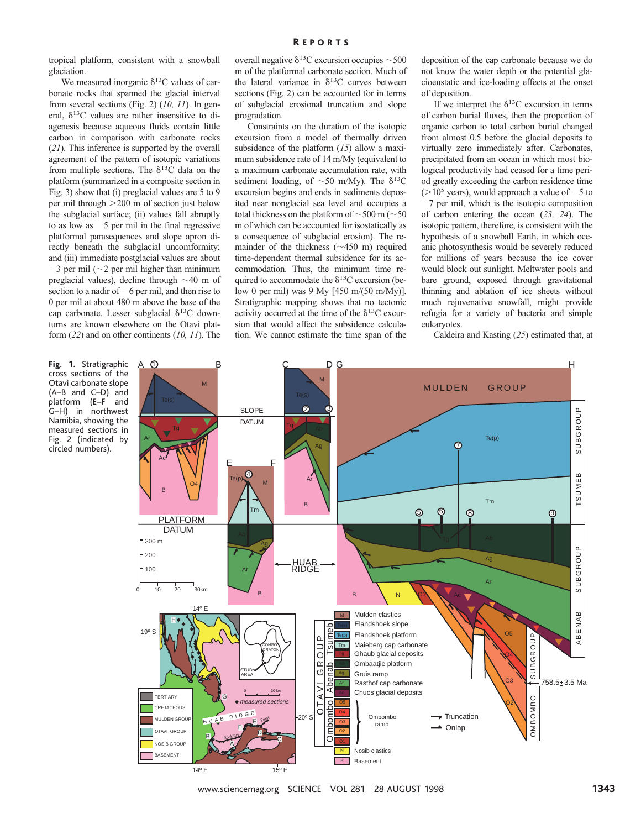tropical platform, consistent with a snowball glaciation.

We measured inorganic  $\delta^{13}$ C values of carbonate rocks that spanned the glacial interval from several sections (Fig. 2) (*10, 11*). In general,  $\delta^{13}$ C values are rather insensitive to diagenesis because aqueous fluids contain little carbon in comparison with carbonate rocks (*21*). This inference is supported by the overall agreement of the pattern of isotopic variations from multiple sections. The  $\delta^{13}$ C data on the platform (summarized in a composite section in Fig. 3) show that (i) preglacial values are 5 to 9 per mil through  $>200$  m of section just below the subglacial surface; (ii) values fall abruptly to as low as  $-5$  per mil in the final regressive platformal parasequences and slope apron directly beneath the subglacial uncomformity; and (iii) immediate postglacial values are about  $-3$  per mil ( $\sim$ 2 per mil higher than minimum preglacial values), decline through  $\sim$ 40 m of section to a nadir of  $-6$  per mil, and then rise to 0 per mil at about 480 m above the base of the cap carbonate. Lesser subglacial  $\delta^{13}$ C downturns are known elsewhere on the Otavi platform (*22*) and on other continents (*10, 11*). The

overall negative  $\delta^{13}$ C excursion occupies  $\sim$  500 m of the platformal carbonate section. Much of the lateral variance in  $\delta^{13}$ C curves between sections (Fig. 2) can be accounted for in terms of subglacial erosional truncation and slope progradation.

Constraints on the duration of the isotopic excursion from a model of thermally driven subsidence of the platform (*15*) allow a maximum subsidence rate of 14 m/My (equivalent to a maximum carbonate accumulation rate, with sediment loading, of  $\sim$  50 m/My). The  $\delta^{13}C$ excursion begins and ends in sediments deposited near nonglacial sea level and occupies a total thickness on the platform of  $\sim$  500 m ( $\sim$  50 m of which can be accounted for isostatically as a consequence of subglacial erosion). The remainder of the thickness  $(\sim 450 \text{ m})$  required time-dependent thermal subsidence for its accommodation. Thus, the minimum time required to accommodate the  $\delta^{13}$ C excursion (below 0 per mil) was 9 My [450 m/(50 m/My)]. Stratigraphic mapping shows that no tectonic activity occurred at the time of the  $\delta^{13}$ C excursion that would affect the subsidence calculation. We cannot estimate the time span of the

deposition of the cap carbonate because we do not know the water depth or the potential glacioeustatic and ice-loading effects at the onset of deposition.

If we interpret the  $\delta^{13}$ C excursion in terms of carbon burial fluxes, then the proportion of organic carbon to total carbon burial changed from almost 0.5 before the glacial deposits to virtually zero immediately after. Carbonates, precipitated from an ocean in which most biological productivity had ceased for a time period greatly exceeding the carbon residence time  $(>10^5$  years), would approach a value of  $-5$  to  $-7$  per mil, which is the isotopic composition of carbon entering the ocean (*23, 24*). The isotopic pattern, therefore, is consistent with the hypothesis of a snowball Earth, in which oceanic photosynthesis would be severely reduced for millions of years because the ice cover would block out sunlight. Meltwater pools and bare ground, exposed through gravitational thinning and ablation of ice sheets without much rejuvenative snowfall, might provide refugia for a variety of bacteria and simple eukaryotes.

Caldeira and Kasting (*25*) estimated that, at

Ar A ① **Fig. 1.** Stratigraphic cross sections of the Otavi carbonate slope (A–B and C–D) and platform (E–F and G–H) in northwest Namibia, showing the measured sections in Fig. 2 (indicated by circled numbers).



www.sciencemag.org SCIENCE VOL 281 28 AUGUST 1998 1343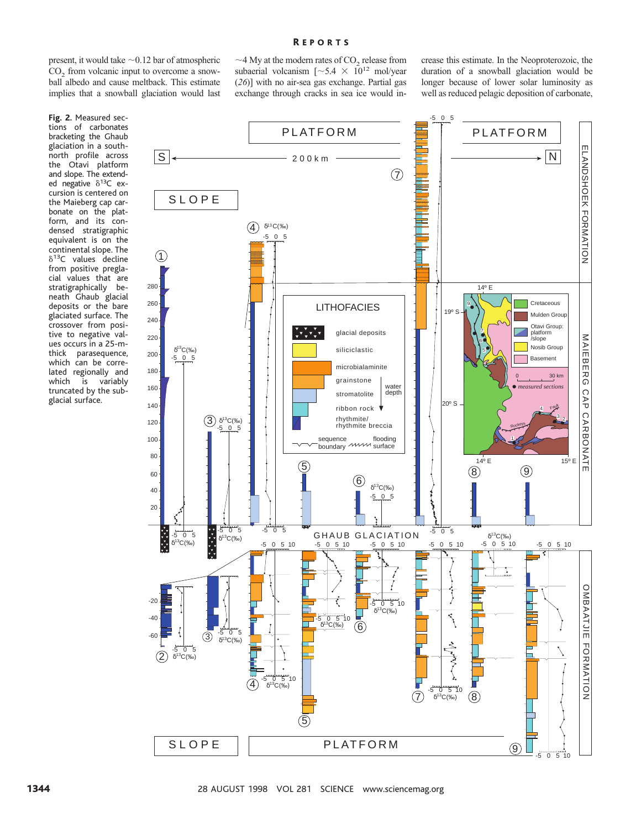#### R EPORTS

present, it would take  $\sim 0.12$  bar of atmospheric  $CO<sub>2</sub>$  from volcanic input to overcome a snowball albedo and cause meltback. This estimate implies that a snowball glaciation would last

**Fig. 2.** Measured sections of carbonates bracketing the Ghaub glaciation in a southnorth profile across the Otavi platform and slope. The extended negative  $\delta^{13}C$  excursion is centered on the Maieberg cap carbonate on the platform, and its condensed stratigraphic equivalent is on the continental slope. The  $\delta^{13}$ C values decline from positive preglacial values that are stratigraphically beneath Ghaub glacial deposits or the bare glaciated surface. The crossover from positive to negative values occurs in a 25-mthick parasequence, which can be correlated regionally and<br>which is variably is variably truncated by the subglacial surface.



crease this estimate. In the Neoproterozoic, the duration of a snowball glaciation would be longer because of lower solar luminosity as well as reduced pelagic deposition of carbonate,

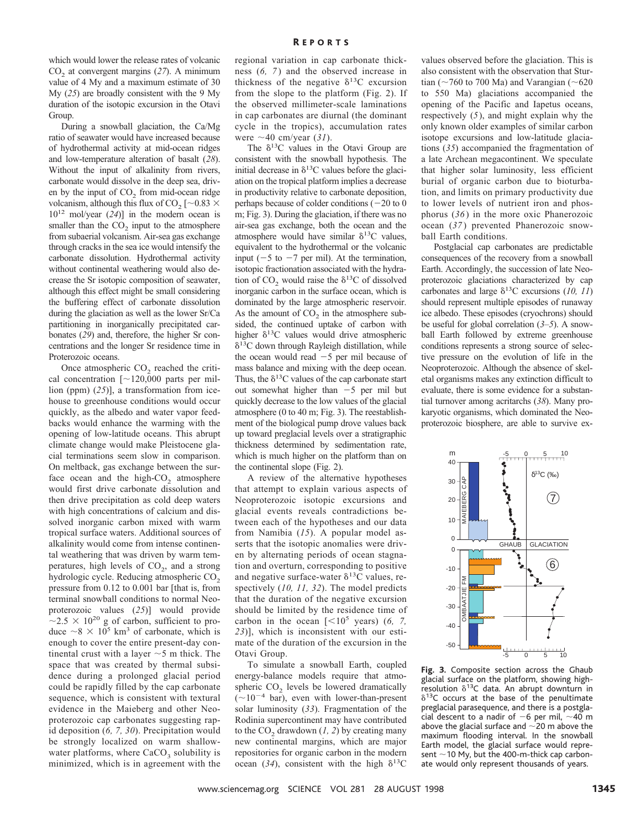which would lower the release rates of volcanic CO2 at convergent margins (*27*). A minimum value of 4 My and a maximum estimate of 30 My (*25*) are broadly consistent with the 9 My duration of the isotopic excursion in the Otavi Group.

During a snowball glaciation, the Ca/Mg ratio of seawater would have increased because of hydrothermal activity at mid-ocean ridges and low-temperature alteration of basalt (*28*). Without the input of alkalinity from rivers, carbonate would dissolve in the deep sea, driven by the input of  $CO<sub>2</sub>$  from mid-ocean ridge volcanism, although this flux of CO<sub>2</sub> [ $\sim$ 0.83  $\times$ 1012 mol/year (*24*)] in the modern ocean is smaller than the  $CO<sub>2</sub>$  input to the atmosphere from subaerial volcanism. Air-sea gas exchange through cracks in the sea ice would intensify the carbonate dissolution. Hydrothermal activity without continental weathering would also decrease the Sr isotopic composition of seawater, although this effect might be small considering the buffering effect of carbonate dissolution during the glaciation as well as the lower Sr/Ca partitioning in inorganically precipitated carbonates (*29*) and, therefore, the higher Sr concentrations and the longer Sr residence time in Proterozoic oceans.

Once atmospheric  $CO<sub>2</sub>$  reached the critical concentration  $[$  ~120,000 parts per million (ppm) (*25*)], a transformation from icehouse to greenhouse conditions would occur quickly, as the albedo and water vapor feedbacks would enhance the warming with the opening of low-latitude oceans. This abrupt climate change would make Pleistocene glacial terminations seem slow in comparison. On meltback, gas exchange between the surface ocean and the high- $CO<sub>2</sub>$  atmosphere would first drive carbonate dissolution and then drive precipitation as cold deep waters with high concentrations of calcium and dissolved inorganic carbon mixed with warm tropical surface waters. Additional sources of alkalinity would come from intense continental weathering that was driven by warm temperatures, high levels of  $CO<sub>2</sub>$ , and a strong hydrologic cycle. Reducing atmospheric CO<sub>2</sub> pressure from 0.12 to 0.001 bar [that is, from terminal snowball conditions to normal Neoproterozoic values (*25*)] would provide  $\sim$ 2.5  $\times$  10<sup>20</sup> g of carbon, sufficient to produce  $\sim 8 \times 10^5$  km<sup>3</sup> of carbonate, which is enough to cover the entire present-day continental crust with a layer  $\sim$  5 m thick. The space that was created by thermal subsidence during a prolonged glacial period could be rapidly filled by the cap carbonate sequence, which is consistent with textural evidence in the Maieberg and other Neoproterozoic cap carbonates suggesting rapid deposition (*6, 7, 30*). Precipitation would be strongly localized on warm shallowwater platforms, where  $CaCO<sub>3</sub>$  solubility is minimized, which is in agreement with the

regional variation in cap carbonate thickness (*6, 7* ) and the observed increase in thickness of the negative  $\delta^{13}$ C excursion from the slope to the platform (Fig. 2). If the observed millimeter-scale laminations in cap carbonates are diurnal (the dominant cycle in the tropics), accumulation rates were  $\sim$ 40 cm/year (31).

The  $\delta^{13}$ C values in the Otavi Group are consistent with the snowball hypothesis. The initial decrease in  $\delta^{13}$ C values before the glaciation on the tropical platform implies a decrease in productivity relative to carbonate deposition, perhaps because of colder conditions  $(-20 \text{ to } 0)$ m; Fig. 3). During the glaciation, if there was no air-sea gas exchange, both the ocean and the atmosphere would have similar  $\delta^{13}$ C values, equivalent to the hydrothermal or the volcanic input ( $-5$  to  $-7$  per mil). At the termination, isotopic fractionation associated with the hydration of CO<sub>2</sub> would raise the  $\delta^{13}$ C of dissolved inorganic carbon in the surface ocean, which is dominated by the large atmospheric reservoir. As the amount of  $CO<sub>2</sub>$  in the atmosphere subsided, the continued uptake of carbon with higher  $\delta^{13}$ C values would drive atmospheric  $\delta^{13}$ C down through Rayleigh distillation, while the ocean would read  $-5$  per mil because of mass balance and mixing with the deep ocean. Thus, the  $\delta^{13}$ C values of the cap carbonate start out somewhat higher than  $-5$  per mil but quickly decrease to the low values of the glacial atmosphere (0 to 40 m; Fig. 3). The reestablishment of the biological pump drove values back up toward preglacial levels over a stratigraphic thickness determined by sedimentation rate, which is much higher on the platform than on the continental slope (Fig. 2).

A review of the alternative hypotheses that attempt to explain various aspects of Neoproterozoic isotopic excursions and glacial events reveals contradictions between each of the hypotheses and our data from Namibia (*15*). A popular model asserts that the isotopic anomalies were driven by alternating periods of ocean stagnation and overturn, corresponding to positive and negative surface-water  $\delta^{13}$ C values, respectively (*10, 11, 32*). The model predicts that the duration of the negative excursion should be limited by the residence time of carbon in the ocean  $\lbrack < 10^5$  years) (6, 7, *23*)], which is inconsistent with our estimate of the duration of the excursion in the Otavi Group.

To simulate a snowball Earth, coupled energy-balance models require that atmospheric CO<sub>2</sub> levels be lowered dramatically  $(\sim 10^{-4}$  bar), even with lower-than-present solar luminosity (*33*). Fragmentation of the Rodinia supercontinent may have contributed to the  $CO<sub>2</sub>$  drawdown (1, 2) by creating many new continental margins, which are major repositories for organic carbon in the modern ocean (34), consistent with the high  $\delta^{13}C$ 

values observed before the glaciation. This is also consistent with the observation that Sturtian ( $\sim$ 760 to 700 Ma) and Varangian ( $\sim$ 620 to 550 Ma) glaciations accompanied the opening of the Pacific and Iapetus oceans, respectively (*5*), and might explain why the only known older examples of similar carbon isotope excursions and low-latitude glaciations (*35*) accompanied the fragmentation of a late Archean megacontinent. We speculate that higher solar luminosity, less efficient burial of organic carbon due to bioturbation, and limits on primary productivity due to lower levels of nutrient iron and phosphorus (*36* ) in the more oxic Phanerozoic ocean (*37* ) prevented Phanerozoic snowball Earth conditions.

Postglacial cap carbonates are predictable consequences of the recovery from a snowball Earth. Accordingly, the succession of late Neoproterozoic glaciations characterized by cap carbonates and large  $\delta^{13}$ C excursions (10, 11) should represent multiple episodes of runaway ice albedo. These episodes (cryochrons) should be useful for global correlation (*3–5*). A snowball Earth followed by extreme greenhouse conditions represents a strong source of selective pressure on the evolution of life in the Neoproterozoic. Although the absence of skeletal organisms makes any extinction difficult to evaluate, there is some evidence for a substantial turnover among acritarchs (*38*). Many prokaryotic organisms, which dominated the Neoproterozoic biosphere, are able to survive ex-



**Fig. 3.** Composite section across the Ghaub glacial surface on the platform, showing highresolution  $\delta^{13}$ C data. An abrupt downturn in  $\delta^{13}$ C occurs at the base of the penultimate preglacial parasequence, and there is a postglacial descent to a nadir of  $-6$  per mil,  $\sim$ 40 m above the glacial surface and  $\sim$  20 m above the maximum flooding interval. In the snowball Earth model, the glacial surface would represent  $\sim$  10 My, but the 400-m-thick cap carbonate would only represent thousands of years.